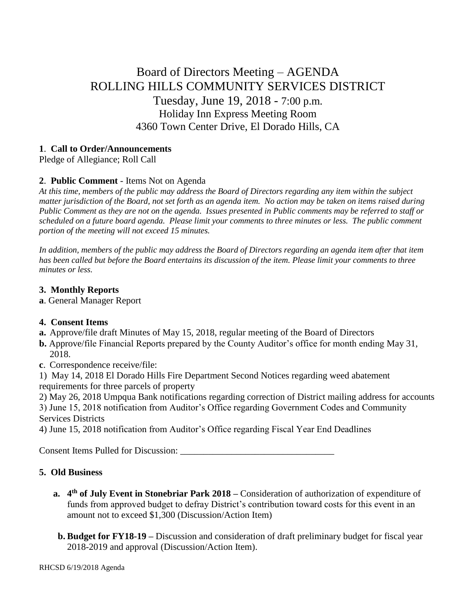# Board of Directors Meeting – AGENDA ROLLING HILLS COMMUNITY SERVICES DISTRICT Tuesday, June 19, 2018 - 7:00 p.m. Holiday Inn Express Meeting Room 4360 Town Center Drive, El Dorado Hills, CA

#### **1**. **Call to Order/Announcements**

Pledge of Allegiance; Roll Call

## **2**. **Public Comment** - Items Not on Agenda

*At this time, members of the public may address the Board of Directors regarding any item within the subject matter jurisdiction of the Board, not set forth as an agenda item. No action may be taken on items raised during Public Comment as they are not on the agenda. Issues presented in Public comments may be referred to staff or scheduled on a future board agenda. Please limit your comments to three minutes or less. The public comment portion of the meeting will not exceed 15 minutes.*

*In addition, members of the public may address the Board of Directors regarding an agenda item after that item has been called but before the Board entertains its discussion of the item. Please limit your comments to three minutes or less.*

## **3. Monthly Reports**

**a**. General Manager Report

## **4. Consent Items**

- **a.** Approve/file draft Minutes of May 15, 2018, regular meeting of the Board of Directors
- **b.** Approve/file Financial Reports prepared by the County Auditor's office for month ending May 31, 2018.
- **c**. Correspondence receive/file:

1) May 14, 2018 El Dorado Hills Fire Department Second Notices regarding weed abatement requirements for three parcels of property

2) May 26, 2018 Umpqua Bank notifications regarding correction of District mailing address for accounts

3) June 15, 2018 notification from Auditor's Office regarding Government Codes and Community Services Districts

4) June 15, 2018 notification from Auditor's Office regarding Fiscal Year End Deadlines

Consent Items Pulled for Discussion: \_\_\_\_\_\_\_\_\_\_\_\_\_\_\_\_\_\_\_\_\_\_\_\_\_\_\_\_\_\_\_\_\_

## **5. Old Business**

- **a. 4 th of July Event in Stonebriar Park 2018 –** Consideration of authorization of expenditure of funds from approved budget to defray District's contribution toward costs for this event in an amount not to exceed \$1,300 (Discussion/Action Item)
- **b. Budget for FY18-19 –** Discussion and consideration of draft preliminary budget for fiscal year 2018-2019 and approval (Discussion/Action Item).